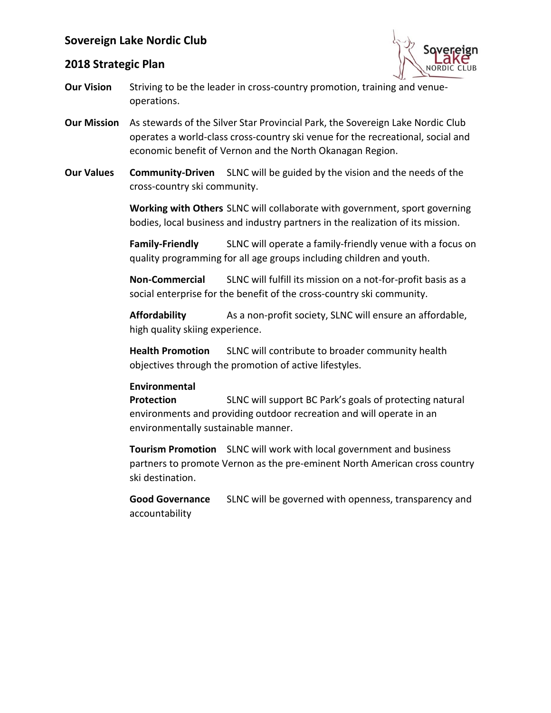

### **2018 Strategic Plan**

- **Our Vision** Striving to be the leader in cross-country promotion, training and venueoperations.
- **Our Mission** As stewards of the Silver Star Provincial Park, the Sovereign Lake Nordic Club operates a world-class cross-country ski venue for the recreational, social and economic benefit of Vernon and the North Okanagan Region.
- **Our Values Community-Driven** SLNC will be guided by the vision and the needs of the cross-country ski community.

**Working with Others** SLNC will collaborate with government, sport governing bodies, local business and industry partners in the realization of its mission.

**Family-Friendly** SLNC will operate a family-friendly venue with a focus on quality programming for all age groups including children and youth.

**Non-Commercial** SLNC will fulfill its mission on a not-for-profit basis as a social enterprise for the benefit of the cross-country ski community.

**Affordability** As a non-profit society, SLNC will ensure an affordable, high quality skiing experience.

**Health Promotion** SLNC will contribute to broader community health objectives through the promotion of active lifestyles.

#### **Environmental**

**Protection** SLNC will support BC Park's goals of protecting natural environments and providing outdoor recreation and will operate in an environmentally sustainable manner.

**Tourism Promotion** SLNC will work with local government and business partners to promote Vernon as the pre-eminent North American cross country ski destination.

**Good Governance** SLNC will be governed with openness, transparency and accountability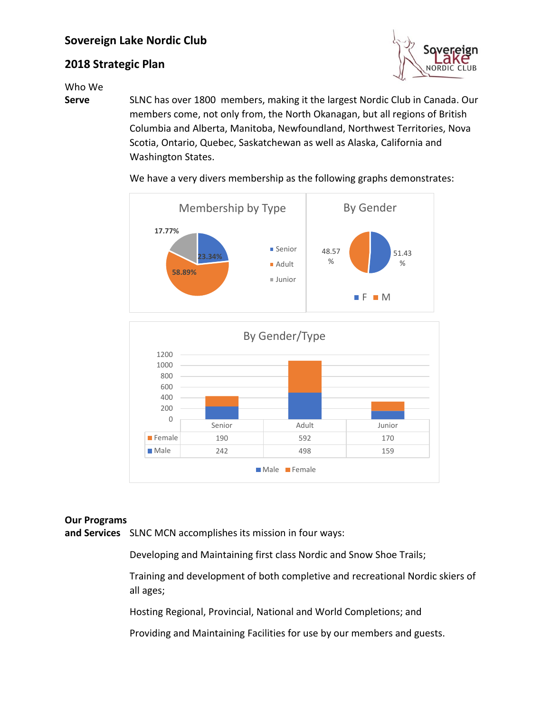# **2018 Strategic Plan**



Who We

**Serve** SLNC has over 1800 members, making it the largest Nordic Club in Canada. Our members come, not only from, the North Okanagan, but all regions of British Columbia and Alberta, Manitoba, Newfoundland, Northwest Territories, Nova Scotia, Ontario, Quebec, Saskatchewan as well as Alaska, California and Washington States.



We have a very divers membership as the following graphs demonstrates:



#### **Our Programs**

**and Services** SLNC MCN accomplishes its mission in four ways:

Developing and Maintaining first class Nordic and Snow Shoe Trails;

Training and development of both completive and recreational Nordic skiers of all ages;

Hosting Regional, Provincial, National and World Completions; and

Providing and Maintaining Facilities for use by our members and guests.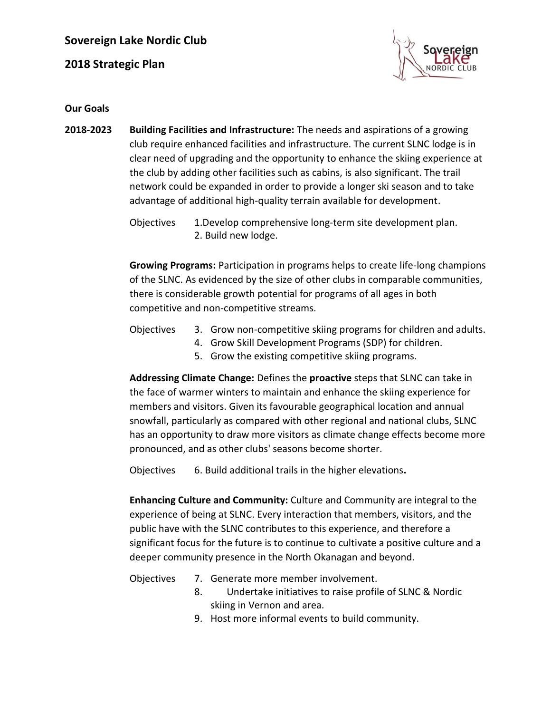**2018 Strategic Plan**



**Our Goals**

**2018-2023 Building Facilities and Infrastructure:** The needs and aspirations of a growing club require enhanced facilities and infrastructure. The current SLNC lodge is in clear need of upgrading and the opportunity to enhance the skiing experience at the club by adding other facilities such as cabins, is also significant. The trail network could be expanded in order to provide a longer ski season and to take advantage of additional high-quality terrain available for development.

Objectives 1.Develop comprehensive long-term site development plan. 2. Build new lodge.

**Growing Programs:** Participation in programs helps to create life-long champions of the SLNC. As evidenced by the size of other clubs in comparable communities, there is considerable growth potential for programs of all ages in both competitive and non-competitive streams.

### Objectives 3. Grow non-competitive skiing programs for children and adults.

- 4. Grow Skill Development Programs (SDP) for children.
- 5. Grow the existing competitive skiing programs.

**Addressing Climate Change:** Defines the **proactive** steps that SLNC can take in the face of warmer winters to maintain and enhance the skiing experience for members and visitors. Given its favourable geographical location and annual snowfall, particularly as compared with other regional and national clubs, SLNC has an opportunity to draw more visitors as climate change effects become more pronounced, and as other clubs' seasons become shorter.

Objectives 6. Build additional trails in the higher elevations**.**

**Enhancing Culture and Community:** Culture and Community are integral to the experience of being at SLNC. Every interaction that members, visitors, and the public have with the SLNC contributes to this experience, and therefore a significant focus for the future is to continue to cultivate a positive culture and a deeper community presence in the North Okanagan and beyond.

- Objectives 7. Generate more member involvement.
	- 8. Undertake initiatives to raise profile of SLNC & Nordic skiing in Vernon and area.
	- 9. Host more informal events to build community.